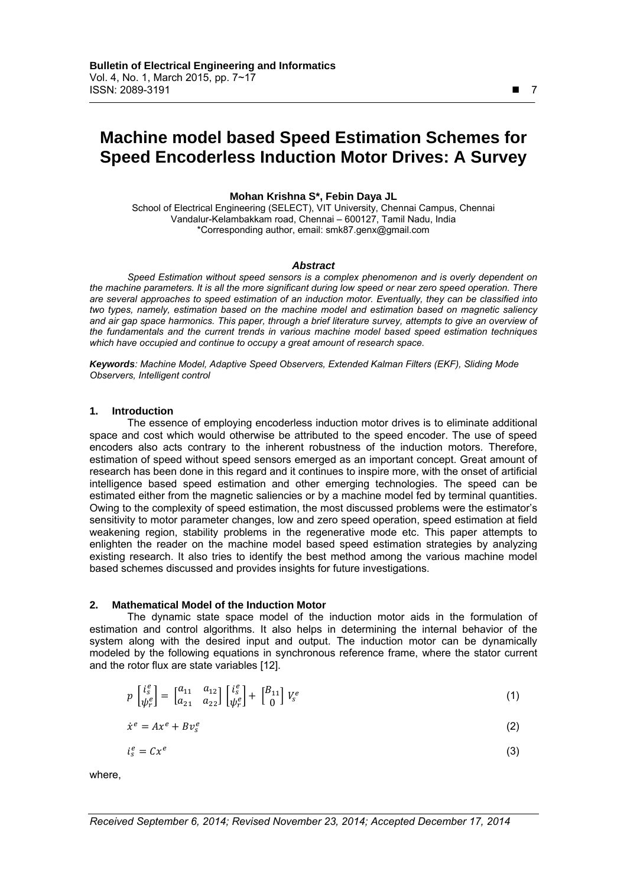# **Machine model based Speed Estimation Schemes for Speed Encoderless Induction Motor Drives: A Survey**

# **Mohan Krishna S\*, Febin Daya JL**

School of Electrical Engineering (SELECT), VIT University, Chennai Campus, Chennai Vandalur-Kelambakkam road, Chennai – 600127, Tamil Nadu, India \*Corresponding author, email: smk87.genx@gmail.com

#### *Abstract*

*Speed Estimation without speed sensors is a complex phenomenon and is overly dependent on the machine parameters. It is all the more significant during low speed or near zero speed operation. There are several approaches to speed estimation of an induction motor. Eventually, they can be classified into two types, namely, estimation based on the machine model and estimation based on magnetic saliency and air gap space harmonics. This paper, through a brief literature survey, attempts to give an overview of the fundamentals and the current trends in various machine model based speed estimation techniques which have occupied and continue to occupy a great amount of research space.* 

*Keywords: Machine Model, Adaptive Speed Observers, Extended Kalman Filters (EKF), Sliding Mode Observers, Intelligent control* 

## **1. Introduction**

The essence of employing encoderless induction motor drives is to eliminate additional space and cost which would otherwise be attributed to the speed encoder. The use of speed encoders also acts contrary to the inherent robustness of the induction motors. Therefore, estimation of speed without speed sensors emerged as an important concept. Great amount of research has been done in this regard and it continues to inspire more, with the onset of artificial intelligence based speed estimation and other emerging technologies. The speed can be estimated either from the magnetic saliencies or by a machine model fed by terminal quantities. Owing to the complexity of speed estimation, the most discussed problems were the estimator's sensitivity to motor parameter changes, low and zero speed operation, speed estimation at field weakening region, stability problems in the regenerative mode etc. This paper attempts to enlighten the reader on the machine model based speed estimation strategies by analyzing existing research. It also tries to identify the best method among the various machine model based schemes discussed and provides insights for future investigations.

# **2. Mathematical Model of the Induction Motor**

The dynamic state space model of the induction motor aids in the formulation of estimation and control algorithms. It also helps in determining the internal behavior of the system along with the desired input and output. The induction motor can be dynamically modeled by the following equations in synchronous reference frame, where the stator current and the rotor flux are state variables [12].

$$
p\begin{bmatrix} i_s^e \\ \psi_r^e \end{bmatrix} = \begin{bmatrix} a_{11} & a_{12} \\ a_{21} & a_{22} \end{bmatrix} \begin{bmatrix} i_s^e \\ \psi_r^e \end{bmatrix} + \begin{bmatrix} B_{11} \\ 0 \end{bmatrix} V_s^e \tag{1}
$$

$$
\dot{x}^e = Ax^e + Bv_s^e \tag{2}
$$

$$
i_s^e = Cx^e \tag{3}
$$

where,

*Received September 6, 2014; Revised November 23, 2014; Accepted December 17, 2014* 

 $\overline{a}$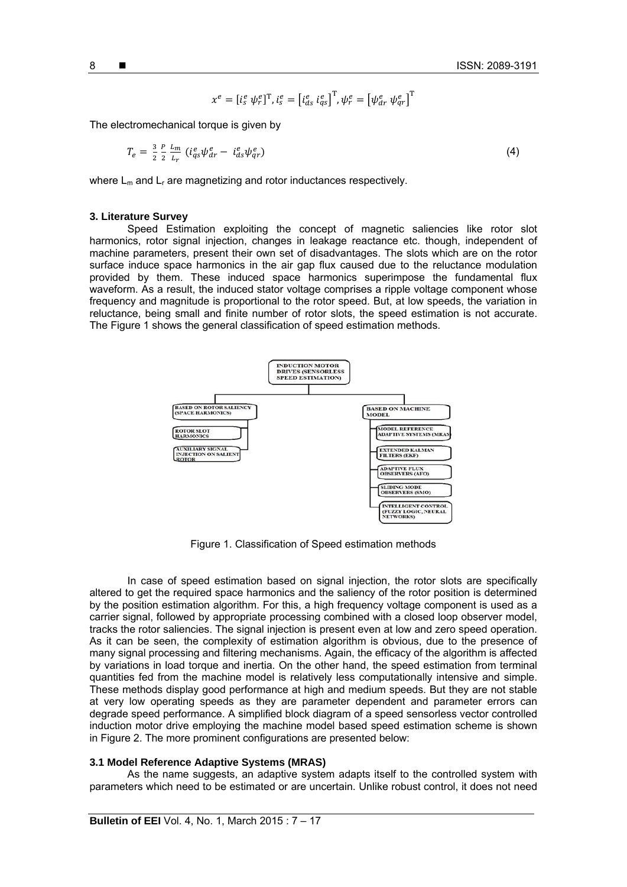$$
x^e = [i_s^e \psi_r^e]^\text{T}, i_s^e = [i_{ds}^e \ i_{qs}^e]^\text{T}, \psi_r^e = [\psi_{dr}^e \ \psi_{qr}^e]^\text{T}
$$

The electromechanical torque is given by

$$
T_e = \frac{3}{2} \frac{P}{2} \frac{L_m}{L_r} \left( i_{qs}^e \psi_{dr}^e - i_{ds}^e \psi_{qr}^e \right) \tag{4}
$$

where  $L_m$  and  $L_r$  are magnetizing and rotor inductances respectively.

#### **3. Literature Survey**

Speed Estimation exploiting the concept of magnetic saliencies like rotor slot harmonics, rotor signal injection, changes in leakage reactance etc. though, independent of machine parameters, present their own set of disadvantages. The slots which are on the rotor surface induce space harmonics in the air gap flux caused due to the reluctance modulation provided by them. These induced space harmonics superimpose the fundamental flux waveform. As a result, the induced stator voltage comprises a ripple voltage component whose frequency and magnitude is proportional to the rotor speed. But, at low speeds, the variation in reluctance, being small and finite number of rotor slots, the speed estimation is not accurate. The Figure 1 shows the general classification of speed estimation methods.



Figure 1. Classification of Speed estimation methods

In case of speed estimation based on signal injection, the rotor slots are specifically altered to get the required space harmonics and the saliency of the rotor position is determined by the position estimation algorithm. For this, a high frequency voltage component is used as a carrier signal, followed by appropriate processing combined with a closed loop observer model, tracks the rotor saliencies. The signal injection is present even at low and zero speed operation. As it can be seen, the complexity of estimation algorithm is obvious, due to the presence of many signal processing and filtering mechanisms. Again, the efficacy of the algorithm is affected by variations in load torque and inertia. On the other hand, the speed estimation from terminal quantities fed from the machine model is relatively less computationally intensive and simple. These methods display good performance at high and medium speeds. But they are not stable at very low operating speeds as they are parameter dependent and parameter errors can degrade speed performance. A simplified block diagram of a speed sensorless vector controlled induction motor drive employing the machine model based speed estimation scheme is shown in Figure 2. The more prominent configurations are presented below:

# **3.1 Model Reference Adaptive Systems (MRAS)**

As the name suggests, an adaptive system adapts itself to the controlled system with parameters which need to be estimated or are uncertain. Unlike robust control, it does not need

8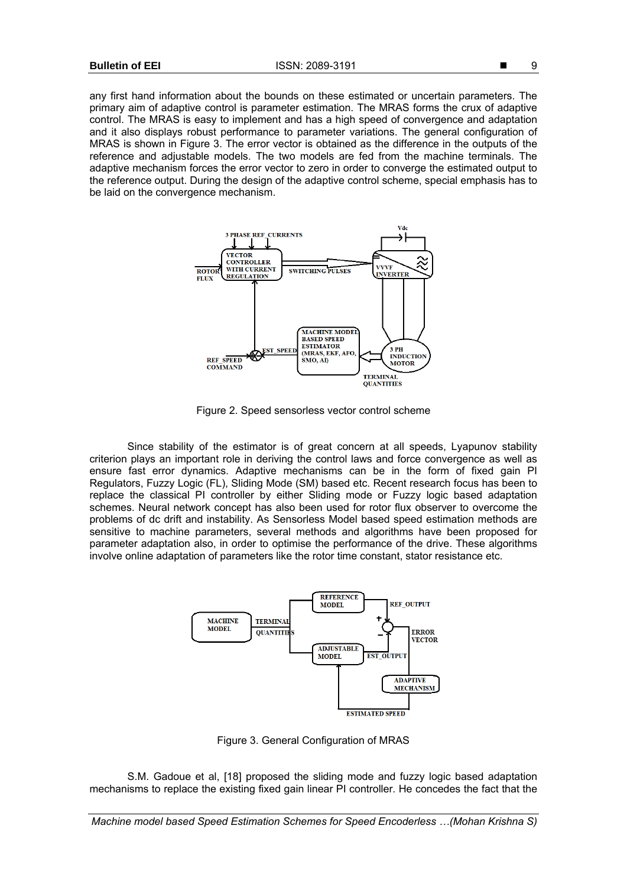any first hand information about the bounds on these estimated or uncertain parameters. The primary aim of adaptive control is parameter estimation. The MRAS forms the crux of adaptive control. The MRAS is easy to implement and has a high speed of convergence and adaptation and it also displays robust performance to parameter variations. The general configuration of MRAS is shown in Figure 3. The error vector is obtained as the difference in the outputs of the reference and adjustable models. The two models are fed from the machine terminals. The adaptive mechanism forces the error vector to zero in order to converge the estimated output to the reference output. During the design of the adaptive control scheme, special emphasis has to be laid on the convergence mechanism.



Figure 2. Speed sensorless vector control scheme

Since stability of the estimator is of great concern at all speeds, Lyapunov stability criterion plays an important role in deriving the control laws and force convergence as well as ensure fast error dynamics. Adaptive mechanisms can be in the form of fixed gain PI Regulators, Fuzzy Logic (FL), Sliding Mode (SM) based etc. Recent research focus has been to replace the classical PI controller by either Sliding mode or Fuzzy logic based adaptation schemes. Neural network concept has also been used for rotor flux observer to overcome the problems of dc drift and instability. As Sensorless Model based speed estimation methods are sensitive to machine parameters, several methods and algorithms have been proposed for parameter adaptation also, in order to optimise the performance of the drive. These algorithms involve online adaptation of parameters like the rotor time constant, stator resistance etc.



Figure 3. General Configuration of MRAS

S.M. Gadoue et al, [18] proposed the sliding mode and fuzzy logic based adaptation mechanisms to replace the existing fixed gain linear PI controller. He concedes the fact that the

*Machine model based Speed Estimation Schemes for Speed Encoderless …(Mohan Krishna S)*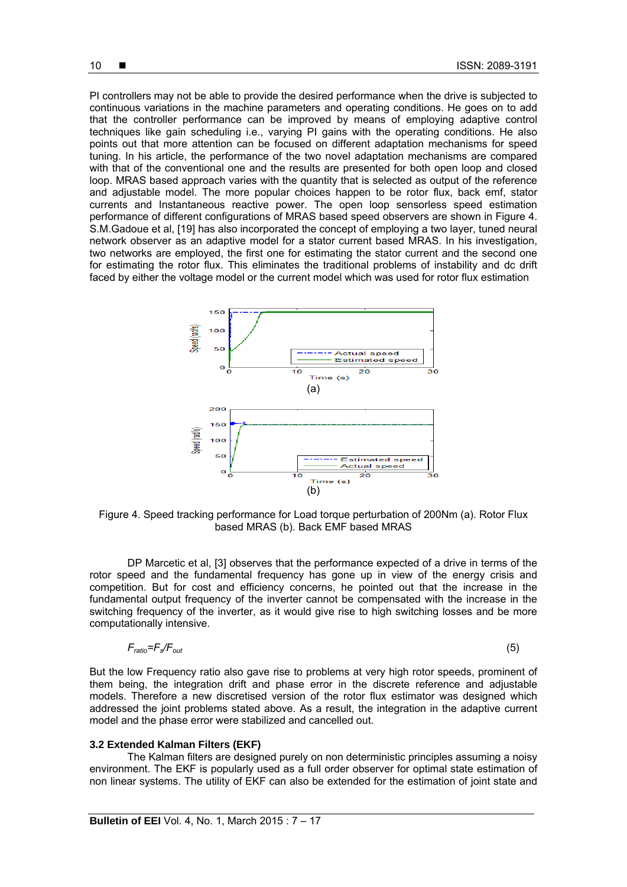PI controllers may not be able to provide the desired performance when the drive is subjected to continuous variations in the machine parameters and operating conditions. He goes on to add that the controller performance can be improved by means of employing adaptive control techniques like gain scheduling i.e., varying PI gains with the operating conditions. He also points out that more attention can be focused on different adaptation mechanisms for speed tuning. In his article, the performance of the two novel adaptation mechanisms are compared with that of the conventional one and the results are presented for both open loop and closed loop. MRAS based approach varies with the quantity that is selected as output of the reference and adjustable model. The more popular choices happen to be rotor flux, back emf, stator currents and Instantaneous reactive power. The open loop sensorless speed estimation performance of different configurations of MRAS based speed observers are shown in Figure 4. S.M.Gadoue et al, [19] has also incorporated the concept of employing a two layer, tuned neural network observer as an adaptive model for a stator current based MRAS. In his investigation, two networks are employed, the first one for estimating the stator current and the second one for estimating the rotor flux. This eliminates the traditional problems of instability and dc drift faced by either the voltage model or the current model which was used for rotor flux estimation



Figure 4. Speed tracking performance for Load torque perturbation of 200Nm (a). Rotor Flux based MRAS (b). Back EMF based MRAS

DP Marcetic et al, [3] observes that the performance expected of a drive in terms of the rotor speed and the fundamental frequency has gone up in view of the energy crisis and competition. But for cost and efficiency concerns, he pointed out that the increase in the fundamental output frequency of the inverter cannot be compensated with the increase in the switching frequency of the inverter, as it would give rise to high switching losses and be more computationally intensive.

$$
F_{ratio} = F_s / F_{out} \tag{5}
$$

But the low Frequency ratio also gave rise to problems at very high rotor speeds, prominent of them being, the integration drift and phase error in the discrete reference and adjustable models. Therefore a new discretised version of the rotor flux estimator was designed which addressed the joint problems stated above. As a result, the integration in the adaptive current model and the phase error were stabilized and cancelled out.

# **3.2 Extended Kalman Filters (EKF)**

The Kalman filters are designed purely on non deterministic principles assuming a noisy environment. The EKF is popularly used as a full order observer for optimal state estimation of non linear systems. The utility of EKF can also be extended for the estimation of joint state and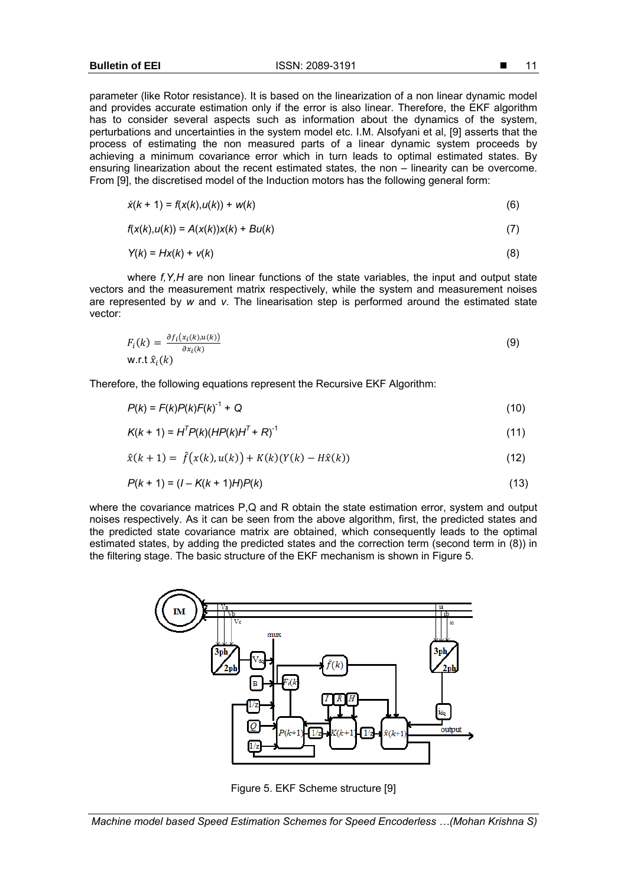parameter (like Rotor resistance). It is based on the linearization of a non linear dynamic model and provides accurate estimation only if the error is also linear. Therefore, the EKF algorithm has to consider several aspects such as information about the dynamics of the system, perturbations and uncertainties in the system model etc. I.M. Alsofyani et al, [9] asserts that the process of estimating the non measured parts of a linear dynamic system proceeds by achieving a minimum covariance error which in turn leads to optimal estimated states. By ensuring linearization about the recent estimated states, the non – linearity can be overcome. From [9], the discretised model of the Induction motors has the following general form:

$$
\dot{x}(k + 1) = f(x(k), u(k)) + w(k)
$$
\n(6)

$$
f(x(k),u(k)) = A(x(k))x(k) + Bu(k)
$$
\n
$$
(7)
$$

$$
Y(k) = HX(k) + V(k)
$$
\n(8)

where *f,Y,H* are non linear functions of the state variables, the input and output state vectors and the measurement matrix respectively, while the system and measurement noises are represented by *w* and *v*. The linearisation step is performed around the estimated state vector:

$$
F_i(k) = \frac{\partial f_i(x_i(k), u(k))}{\partial x_i(k)}
$$
  
W.r.t  $\hat{x}_i(k)$  (9)

Therefore, the following equations represent the Recursive EKF Algorithm:

$$
P(k) = F(k)P(k)F(k)^{-1} + Q
$$
 (10)

$$
K(k + 1) = HTP(k)(HP(k)HT + R)-1
$$
\n(11)

$$
\hat{x}(k+1) = \hat{f}(x(k), u(k)) + K(k)(Y(k) - H\hat{x}(k))
$$
\n(12)

$$
P(k + 1) = (1 - K(k + 1)H)P(k)
$$
\n(13)

where the covariance matrices P,Q and R obtain the state estimation error, system and output noises respectively. As it can be seen from the above algorithm, first, the predicted states and the predicted state covariance matrix are obtained, which consequently leads to the optimal estimated states, by adding the predicted states and the correction term (second term in (8)) in the filtering stage. The basic structure of the EKF mechanism is shown in Figure 5.



Figure 5. EKF Scheme structure [9]

*Machine model based Speed Estimation Schemes for Speed Encoderless …(Mohan Krishna S)*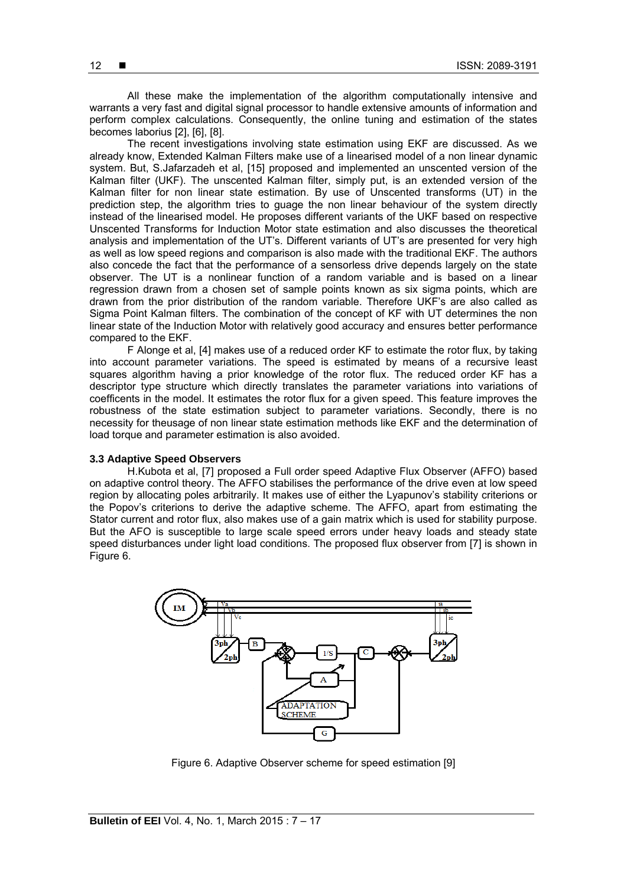All these make the implementation of the algorithm computationally intensive and warrants a very fast and digital signal processor to handle extensive amounts of information and perform complex calculations. Consequently, the online tuning and estimation of the states becomes laborius [2], [6], [8].

The recent investigations involving state estimation using EKF are discussed. As we already know, Extended Kalman Filters make use of a linearised model of a non linear dynamic system. But, S.Jafarzadeh et al, [15] proposed and implemented an unscented version of the Kalman filter (UKF). The unscented Kalman filter, simply put, is an extended version of the Kalman filter for non linear state estimation. By use of Unscented transforms (UT) in the prediction step, the algorithm tries to guage the non linear behaviour of the system directly instead of the linearised model. He proposes different variants of the UKF based on respective Unscented Transforms for Induction Motor state estimation and also discusses the theoretical analysis and implementation of the UT's. Different variants of UT's are presented for very high as well as low speed regions and comparison is also made with the traditional EKF. The authors also concede the fact that the performance of a sensorless drive depends largely on the state observer. The UT is a nonlinear function of a random variable and is based on a linear regression drawn from a chosen set of sample points known as six sigma points, which are drawn from the prior distribution of the random variable. Therefore UKF's are also called as Sigma Point Kalman filters. The combination of the concept of KF with UT determines the non linear state of the Induction Motor with relatively good accuracy and ensures better performance compared to the EKF.

F Alonge et al, [4] makes use of a reduced order KF to estimate the rotor flux, by taking into account parameter variations. The speed is estimated by means of a recursive least squares algorithm having a prior knowledge of the rotor flux. The reduced order KF has a descriptor type structure which directly translates the parameter variations into variations of coefficents in the model. It estimates the rotor flux for a given speed. This feature improves the robustness of the state estimation subject to parameter variations. Secondly, there is no necessity for theusage of non linear state estimation methods like EKF and the determination of load torque and parameter estimation is also avoided.

## **3.3 Adaptive Speed Observers**

H.Kubota et al, [7] proposed a Full order speed Adaptive Flux Observer (AFFO) based on adaptive control theory. The AFFO stabilises the performance of the drive even at low speed region by allocating poles arbitrarily. It makes use of either the Lyapunov's stability criterions or the Popov's criterions to derive the adaptive scheme. The AFFO, apart from estimating the Stator current and rotor flux, also makes use of a gain matrix which is used for stability purpose. But the AFO is susceptible to large scale speed errors under heavy loads and steady state speed disturbances under light load conditions. The proposed flux observer from [7] is shown in Figure 6.



Figure 6. Adaptive Observer scheme for speed estimation [9]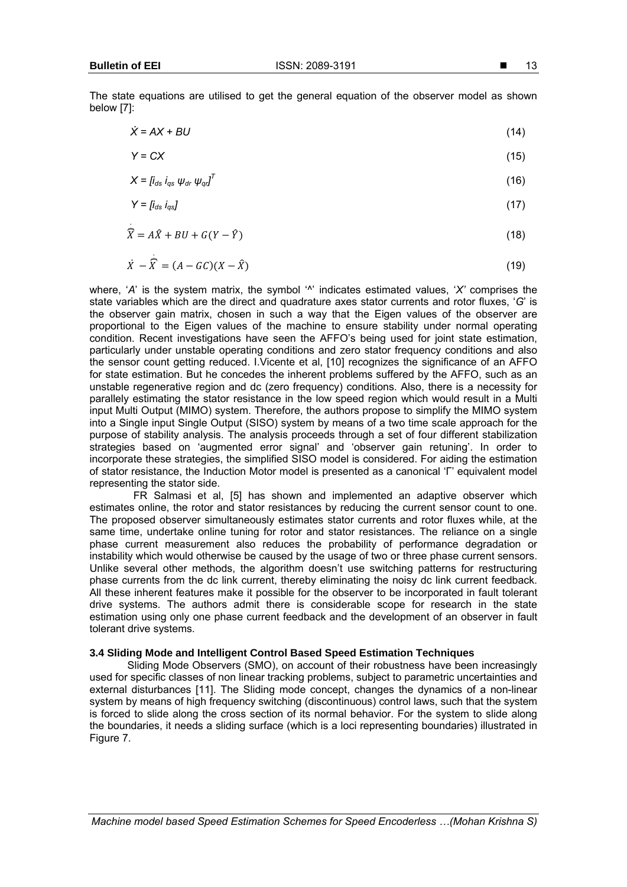.

.

The state equations are utilised to get the general equation of the observer model as shown below [7]:

$$
\dot{X} = AX + BU
$$
 (14)

$$
Y = CX \tag{15}
$$

$$
X = [i_{ds} i_{qs} \ \psi_{dr} \ \psi_{qd}]^T
$$
 (16)

$$
Y = [i_{ds} i_{qs}] \tag{17}
$$

$$
\widehat{X} = A\widehat{X} + BU + G(Y - \widehat{Y})
$$
\n(18)

$$
\dot{X} - \overline{X} = (A - GC)(X - \hat{X})
$$
\n(19)

where, '*A*' is the system matrix, the symbol '<sup>*N*</sup> indicates estimated values, '*X*' comprises the state variables which are the direct and quadrature axes stator currents and rotor fluxes, '*G*' is the observer gain matrix, chosen in such a way that the Eigen values of the observer are proportional to the Eigen values of the machine to ensure stability under normal operating condition. Recent investigations have seen the AFFO's being used for joint state estimation, particularly under unstable operating conditions and zero stator frequency conditions and also the sensor count getting reduced. I.Vicente et al, [10] recognizes the significance of an AFFO for state estimation. But he concedes the inherent problems suffered by the AFFO, such as an unstable regenerative region and dc (zero frequency) conditions. Also, there is a necessity for parallely estimating the stator resistance in the low speed region which would result in a Multi input Multi Output (MIMO) system. Therefore, the authors propose to simplify the MIMO system into a Single input Single Output (SISO) system by means of a two time scale approach for the purpose of stability analysis. The analysis proceeds through a set of four different stabilization strategies based on 'augmented error signal' and 'observer gain retuning'. In order to incorporate these strategies, the simplified SISO model is considered. For aiding the estimation of stator resistance, the Induction Motor model is presented as a canonical 'Γ' equivalent model representing the stator side.

 FR Salmasi et al, [5] has shown and implemented an adaptive observer which estimates online, the rotor and stator resistances by reducing the current sensor count to one. The proposed observer simultaneously estimates stator currents and rotor fluxes while, at the same time, undertake online tuning for rotor and stator resistances. The reliance on a single phase current measurement also reduces the probability of performance degradation or instability which would otherwise be caused by the usage of two or three phase current sensors. Unlike several other methods, the algorithm doesn't use switching patterns for restructuring phase currents from the dc link current, thereby eliminating the noisy dc link current feedback. All these inherent features make it possible for the observer to be incorporated in fault tolerant drive systems. The authors admit there is considerable scope for research in the state estimation using only one phase current feedback and the development of an observer in fault tolerant drive systems.

## **3.4 Sliding Mode and Intelligent Control Based Speed Estimation Techniques**

Sliding Mode Observers (SMO), on account of their robustness have been increasingly used for specific classes of non linear tracking problems, subject to parametric uncertainties and external disturbances [11]. The Sliding mode concept, changes the dynamics of a non-linear system by means of high frequency switching (discontinuous) control laws, such that the system is forced to slide along the cross section of its normal behavior. For the system to slide along the boundaries, it needs a sliding surface (which is a loci representing boundaries) illustrated in Figure 7.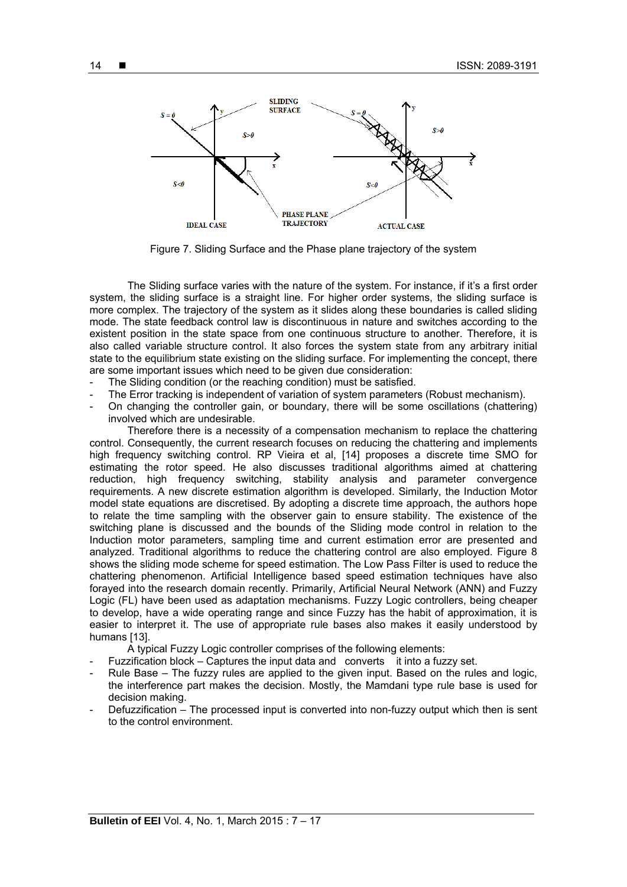

Figure 7. Sliding Surface and the Phase plane trajectory of the system

 The Sliding surface varies with the nature of the system. For instance, if it's a first order system, the sliding surface is a straight line. For higher order systems, the sliding surface is more complex. The trajectory of the system as it slides along these boundaries is called sliding mode. The state feedback control law is discontinuous in nature and switches according to the existent position in the state space from one continuous structure to another. Therefore, it is also called variable structure control. It also forces the system state from any arbitrary initial state to the equilibrium state existing on the sliding surface. For implementing the concept, there are some important issues which need to be given due consideration:

- The Sliding condition (or the reaching condition) must be satisfied.
- The Error tracking is independent of variation of system parameters (Robust mechanism).
- On changing the controller gain, or boundary, there will be some oscillations (chattering) involved which are undesirable.

Therefore there is a necessity of a compensation mechanism to replace the chattering control. Consequently, the current research focuses on reducing the chattering and implements high frequency switching control. RP Vieira et al, [14] proposes a discrete time SMO for estimating the rotor speed. He also discusses traditional algorithms aimed at chattering reduction, high frequency switching, stability analysis and parameter convergence requirements. A new discrete estimation algorithm is developed. Similarly, the Induction Motor model state equations are discretised. By adopting a discrete time approach, the authors hope to relate the time sampling with the observer gain to ensure stability. The existence of the switching plane is discussed and the bounds of the Sliding mode control in relation to the Induction motor parameters, sampling time and current estimation error are presented and analyzed. Traditional algorithms to reduce the chattering control are also employed. Figure 8 shows the sliding mode scheme for speed estimation. The Low Pass Filter is used to reduce the chattering phenomenon. Artificial Intelligence based speed estimation techniques have also forayed into the research domain recently. Primarily, Artificial Neural Network (ANN) and Fuzzy Logic (FL) have been used as adaptation mechanisms. Fuzzy Logic controllers, being cheaper to develop, have a wide operating range and since Fuzzy has the habit of approximation, it is easier to interpret it. The use of appropriate rule bases also makes it easily understood by humans [13].

A typical Fuzzy Logic controller comprises of the following elements:

- Fuzzification block Captures the input data and converts it into a fuzzy set.
- Rule Base The fuzzy rules are applied to the given input. Based on the rules and logic, the interference part makes the decision. Mostly, the Mamdani type rule base is used for decision making.
- Defuzzification The processed input is converted into non-fuzzy output which then is sent to the control environment.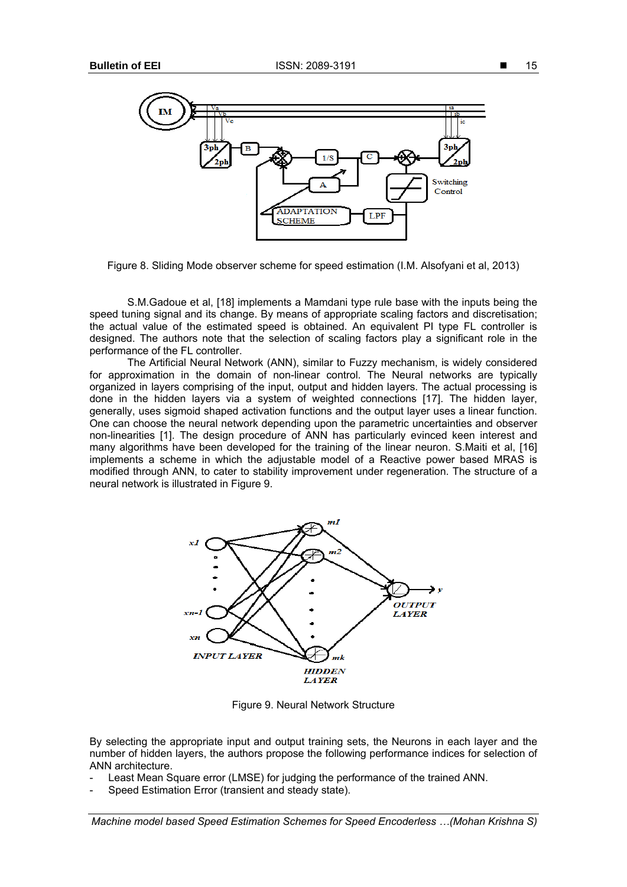

Figure 8. Sliding Mode observer scheme for speed estimation (I.M. Alsofyani et al, 2013)

S.M.Gadoue et al, [18] implements a Mamdani type rule base with the inputs being the speed tuning signal and its change. By means of appropriate scaling factors and discretisation; the actual value of the estimated speed is obtained. An equivalent PI type FL controller is designed. The authors note that the selection of scaling factors play a significant role in the performance of the FL controller.

The Artificial Neural Network (ANN), similar to Fuzzy mechanism, is widely considered for approximation in the domain of non-linear control. The Neural networks are typically organized in layers comprising of the input, output and hidden layers. The actual processing is done in the hidden layers via a system of weighted connections [17]. The hidden layer, generally, uses sigmoid shaped activation functions and the output layer uses a linear function. One can choose the neural network depending upon the parametric uncertainties and observer non-linearities [1]. The design procedure of ANN has particularly evinced keen interest and many algorithms have been developed for the training of the linear neuron. S.Maiti et al, [16] implements a scheme in which the adjustable model of a Reactive power based MRAS is modified through ANN, to cater to stability improvement under regeneration. The structure of a neural network is illustrated in Figure 9.



Figure 9. Neural Network Structure

By selecting the appropriate input and output training sets, the Neurons in each layer and the number of hidden layers, the authors propose the following performance indices for selection of ANN architecture.

- Least Mean Square error (LMSE) for judging the performance of the trained ANN.
- Speed Estimation Error (transient and steady state).

*Machine model based Speed Estimation Schemes for Speed Encoderless …(Mohan Krishna S)*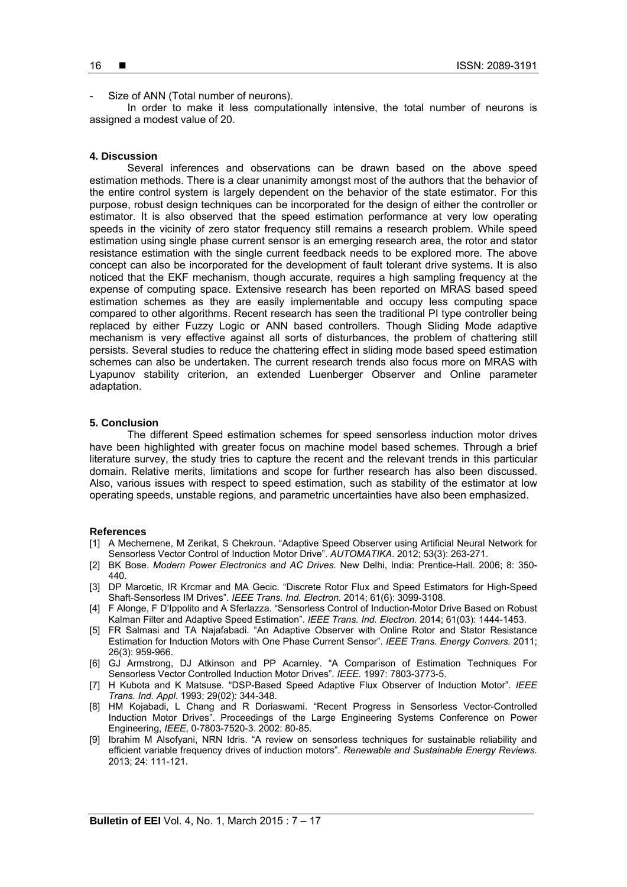Size of ANN (Total number of neurons).

In order to make it less computationally intensive, the total number of neurons is assigned a modest value of 20.

## **4. Discussion**

Several inferences and observations can be drawn based on the above speed estimation methods. There is a clear unanimity amongst most of the authors that the behavior of the entire control system is largely dependent on the behavior of the state estimator. For this purpose, robust design techniques can be incorporated for the design of either the controller or estimator. It is also observed that the speed estimation performance at very low operating speeds in the vicinity of zero stator frequency still remains a research problem. While speed estimation using single phase current sensor is an emerging research area, the rotor and stator resistance estimation with the single current feedback needs to be explored more. The above concept can also be incorporated for the development of fault tolerant drive systems. It is also noticed that the EKF mechanism, though accurate, requires a high sampling frequency at the expense of computing space. Extensive research has been reported on MRAS based speed estimation schemes as they are easily implementable and occupy less computing space compared to other algorithms. Recent research has seen the traditional PI type controller being replaced by either Fuzzy Logic or ANN based controllers. Though Sliding Mode adaptive mechanism is very effective against all sorts of disturbances, the problem of chattering still persists. Several studies to reduce the chattering effect in sliding mode based speed estimation schemes can also be undertaken. The current research trends also focus more on MRAS with Lyapunov stability criterion, an extended Luenberger Observer and Online parameter adaptation.

# **5. Conclusion**

The different Speed estimation schemes for speed sensorless induction motor drives have been highlighted with greater focus on machine model based schemes. Through a brief literature survey, the study tries to capture the recent and the relevant trends in this particular domain. Relative merits, limitations and scope for further research has also been discussed. Also, various issues with respect to speed estimation, such as stability of the estimator at low operating speeds, unstable regions, and parametric uncertainties have also been emphasized.

## **References**

- [1] A Mechernene, M Zerikat, S Chekroun. "Adaptive Speed Observer using Artificial Neural Network for Sensorless Vector Control of Induction Motor Drive". *AUTOMATIKA*. 2012; 53(3): 263-271.
- [2] BK Bose. *Modern Power Electronics and AC Drives.* New Delhi, India: Prentice-Hall. 2006; 8: 350- 440.
- [3] DP Marcetic, IR Krcmar and MA Gecic. "Discrete Rotor Flux and Speed Estimators for High-Speed Shaft-Sensorless IM Drives". *IEEE Trans. Ind. Electron.* 2014; 61(6): 3099-3108.
- [4] F Alonge, F D'Ippolito and A Sferlazza. "Sensorless Control of Induction-Motor Drive Based on Robust Kalman Filter and Adaptive Speed Estimation". *IEEE Trans. Ind. Electron.* 2014; 61(03): 1444-1453.
- [5] FR Salmasi and TA Najafabadi. "An Adaptive Observer with Online Rotor and Stator Resistance Estimation for Induction Motors with One Phase Current Sensor". *IEEE Trans. Energy Convers.* 2011; 26(3): 959-966.
- [6] GJ Armstrong, DJ Atkinson and PP Acarnley. "A Comparison of Estimation Techniques For Sensorless Vector Controlled Induction Motor Drives". *IEEE.* 1997: 7803-3773-5.
- [7] H Kubota and K Matsuse. "DSP-Based Speed Adaptive Flux Observer of Induction Motor". *IEEE Trans. Ind. Appl*. 1993; 29(02): 344-348.
- [8] HM Kojabadi, L Chang and R Doriaswami. "Recent Progress in Sensorless Vector-Controlled Induction Motor Drives". Proceedings of the Large Engineering Systems Conference on Power Engineering, *IEEE*, 0-7803-7520-3. 2002: 80-85.
- [9] Ibrahim M Alsofyani, NRN Idris. "A review on sensorless techniques for sustainable reliability and efficient variable frequency drives of induction motors". *Renewable and Sustainable Energy Reviews.*  2013; 24: 111-121.